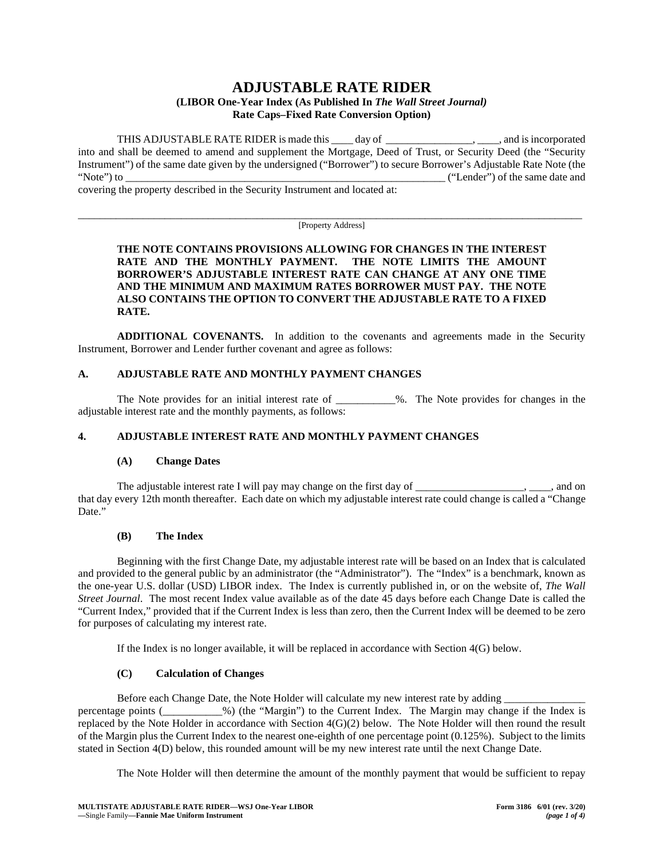# **ADJUSTABLE RATE RIDER**

## **(LIBOR One-Year Index (As Published In** *The Wall Street Journal)* **Rate Caps–Fixed Rate Conversion Option)**

THIS ADJUSTABLE RATE RIDER is made this day of the component of the state in the state of the component of the state of the state of the state of the state of the state of the state of the state of the state of the state o into and shall be deemed to amend and supplement the Mortgage, Deed of Trust, or Security Deed (the "Security Instrument") of the same date given by the undersigned ("Borrower") to secure Borrower's Adjustable Rate Note (the "Note") to  $($ "Lender") of the same date and

covering the property described in the Security Instrument and located at:

\_\_\_\_\_\_\_\_\_\_\_\_\_\_\_\_\_\_\_\_\_\_\_\_\_\_\_\_\_\_\_\_\_\_\_\_\_\_\_\_\_\_\_\_\_\_\_\_\_\_\_\_\_\_\_\_\_\_\_\_\_\_\_\_\_\_\_\_\_\_\_\_\_\_\_\_\_\_\_\_\_\_\_\_\_\_\_\_\_\_\_\_\_ [Property Address]

## **THE NOTE CONTAINS PROVISIONS ALLOWING FOR CHANGES IN THE INTEREST RATE AND THE MONTHLY PAYMENT. THE NOTE LIMITS THE AMOUNT BORROWER'S ADJUSTABLE INTEREST RATE CAN CHANGE AT ANY ONE TIME AND THE MINIMUM AND MAXIMUM RATES BORROWER MUST PAY. THE NOTE ALSO CONTAINS THE OPTION TO CONVERT THE ADJUSTABLE RATE TO A FIXED RATE.**

**ADDITIONAL COVENANTS.** In addition to the covenants and agreements made in the Security Instrument, Borrower and Lender further covenant and agree as follows:

## **A. ADJUSTABLE RATE AND MONTHLY PAYMENT CHANGES**

The Note provides for an initial interest rate of \_\_\_\_\_\_\_\_\_\_\_%. The Note provides for changes in the adjustable interest rate and the monthly payments, as follows:

# **4. ADJUSTABLE INTEREST RATE AND MONTHLY PAYMENT CHANGES**

## **(A) Change Dates**

The adjustable interest rate I will pay may change on the first day of \_\_\_\_\_\_\_\_\_\_\_\_\_\_\_\_\_\_, \_\_\_\_, and on that day every 12th month thereafter. Each date on which my adjustable interest rate could change is called a "Change Date."

## **(B) The Index**

Beginning with the first Change Date, my adjustable interest rate will be based on an Index that is calculated and provided to the general public by an administrator (the "Administrator"). The "Index" is a benchmark, known as the one-year U.S. dollar (USD) LIBOR index. The Index is currently published in, or on the website of, *The Wall Street Journal*. The most recent Index value available as of the date 45 days before each Change Date is called the "Current Index," provided that if the Current Index is less than zero, then the Current Index will be deemed to be zero for purposes of calculating my interest rate.

If the Index is no longer available, it will be replaced in accordance with Section 4(G) below.

# **(C) Calculation of Changes**

Before each Change Date, the Note Holder will calculate my new interest rate by adding percentage points (\_\_\_\_\_\_\_\_\_\_\_%) (the "Margin") to the Current Index. The Margin may change if the Index is replaced by the Note Holder in accordance with Section 4(G)(2) below. The Note Holder will then round the result of the Margin plus the Current Index to the nearest one-eighth of one percentage point  $(0.125\%)$ . Subject to the limits stated in Section 4(D) below, this rounded amount will be my new interest rate until the next Change Date.

The Note Holder will then determine the amount of the monthly payment that would be sufficient to repay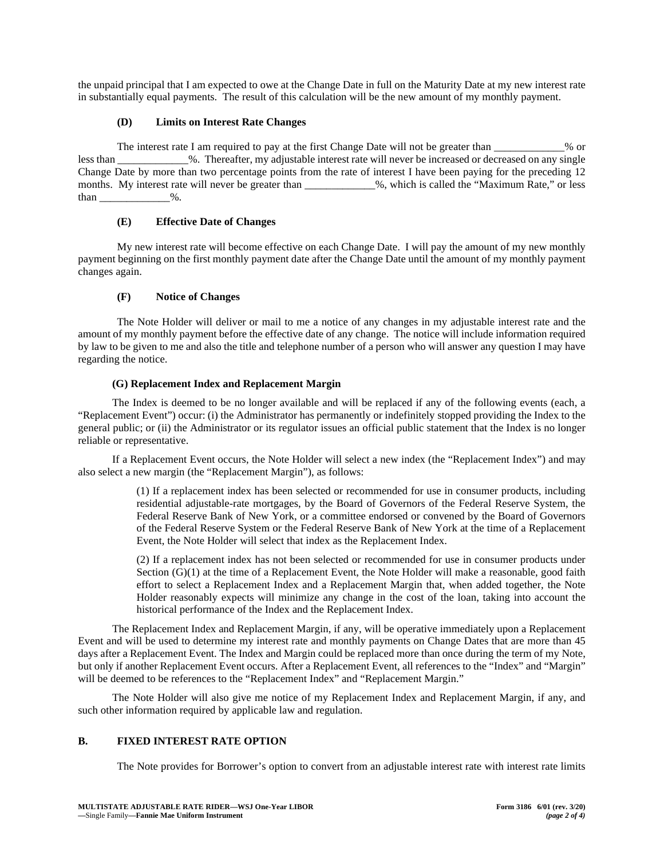the unpaid principal that I am expected to owe at the Change Date in full on the Maturity Date at my new interest rate in substantially equal payments. The result of this calculation will be the new amount of my monthly payment.

## **(D) Limits on Interest Rate Changes**

The interest rate I am required to pay at the first Change Date will not be greater than \_\_\_\_\_\_\_\_\_\_\_\_\_% or less than \_\_\_\_\_\_\_\_\_\_\_\_\_%. Thereafter, my adjustable interest rate will never be increased or decreased on any single Change Date by more than two percentage points from the rate of interest I have been paying for the preceding 12 months. My interest rate will never be greater than \_\_\_\_\_\_\_\_\_\_\_%, which is called the "Maximum Rate," or less than  $\frac{96}{6}$ . than

# **(E) Effective Date of Changes**

My new interest rate will become effective on each Change Date. I will pay the amount of my new monthly payment beginning on the first monthly payment date after the Change Date until the amount of my monthly payment changes again.

# **(F) Notice of Changes**

The Note Holder will deliver or mail to me a notice of any changes in my adjustable interest rate and the amount of my monthly payment before the effective date of any change. The notice will include information required by law to be given to me and also the title and telephone number of a person who will answer any question I may have regarding the notice.

# **(G) Replacement Index and Replacement Margin**

The Index is deemed to be no longer available and will be replaced if any of the following events (each, a "Replacement Event") occur: (i) the Administrator has permanently or indefinitely stopped providing the Index to the general public; or (ii) the Administrator or its regulator issues an official public statement that the Index is no longer reliable or representative.

If a Replacement Event occurs, the Note Holder will select a new index (the "Replacement Index") and may also select a new margin (the "Replacement Margin"), as follows:

> (1) If a replacement index has been selected or recommended for use in consumer products, including residential adjustable-rate mortgages, by the Board of Governors of the Federal Reserve System, the Federal Reserve Bank of New York, or a committee endorsed or convened by the Board of Governors of the Federal Reserve System or the Federal Reserve Bank of New York at the time of a Replacement Event, the Note Holder will select that index as the Replacement Index.

> (2) If a replacement index has not been selected or recommended for use in consumer products under Section (G)(1) at the time of a Replacement Event, the Note Holder will make a reasonable, good faith effort to select a Replacement Index and a Replacement Margin that, when added together, the Note Holder reasonably expects will minimize any change in the cost of the loan, taking into account the historical performance of the Index and the Replacement Index.

The Replacement Index and Replacement Margin, if any, will be operative immediately upon a Replacement Event and will be used to determine my interest rate and monthly payments on Change Dates that are more than 45 days after a Replacement Event. The Index and Margin could be replaced more than once during the term of my Note, but only if another Replacement Event occurs. After a Replacement Event, all references to the "Index" and "Margin" will be deemed to be references to the "Replacement Index" and "Replacement Margin."

The Note Holder will also give me notice of my Replacement Index and Replacement Margin, if any, and such other information required by applicable law and regulation.

# **B. FIXED INTEREST RATE OPTION**

The Note provides for Borrower's option to convert from an adjustable interest rate with interest rate limits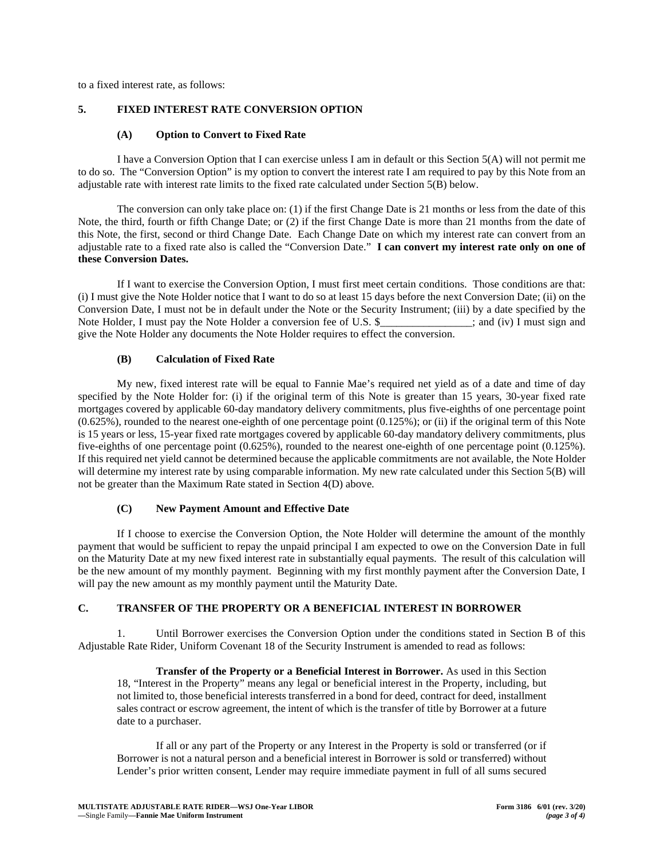to a fixed interest rate, as follows:

#### **5. FIXED INTEREST RATE CONVERSION OPTION**

#### **(A) Option to Convert to Fixed Rate**

I have a Conversion Option that I can exercise unless I am in default or this Section 5(A) will not permit me to do so. The "Conversion Option" is my option to convert the interest rate I am required to pay by this Note from an adjustable rate with interest rate limits to the fixed rate calculated under Section 5(B) below.

The conversion can only take place on: (1) if the first Change Date is 21 months or less from the date of this Note, the third, fourth or fifth Change Date; or (2) if the first Change Date is more than 21 months from the date of this Note, the first, second or third Change Date. Each Change Date on which my interest rate can convert from an adjustable rate to a fixed rate also is called the "Conversion Date." **I can convert my interest rate only on one of these Conversion Dates.**

If I want to exercise the Conversion Option, I must first meet certain conditions. Those conditions are that: (i) I must give the Note Holder notice that I want to do so at least 15 days before the next Conversion Date; (ii) on the Conversion Date, I must not be in default under the Note or the Security Instrument; (iii) by a date specified by the Note Holder, I must pay the Note Holder a conversion fee of U.S. \$\_\_\_\_\_\_\_\_\_\_\_\_\_; and (iv) I must sign and give the Note Holder any documents the Note Holder requires to effect the conversion.

#### **(B) Calculation of Fixed Rate**

My new, fixed interest rate will be equal to Fannie Mae's required net yield as of a date and time of day specified by the Note Holder for: (i) if the original term of this Note is greater than 15 years, 30-year fixed rate mortgages covered by applicable 60-day mandatory delivery commitments, plus five-eighths of one percentage point (0.625%), rounded to the nearest one-eighth of one percentage point (0.125%); or (ii) if the original term of this Note is 15 years or less, 15-year fixed rate mortgages covered by applicable 60-day mandatory delivery commitments, plus five-eighths of one percentage point (0.625%), rounded to the nearest one-eighth of one percentage point (0.125%). If this required net yield cannot be determined because the applicable commitments are not available, the Note Holder will determine my interest rate by using comparable information. My new rate calculated under this Section 5(B) will not be greater than the Maximum Rate stated in Section 4(D) above.

## **(C) New Payment Amount and Effective Date**

If I choose to exercise the Conversion Option, the Note Holder will determine the amount of the monthly payment that would be sufficient to repay the unpaid principal I am expected to owe on the Conversion Date in full on the Maturity Date at my new fixed interest rate in substantially equal payments. The result of this calculation will be the new amount of my monthly payment. Beginning with my first monthly payment after the Conversion Date, I will pay the new amount as my monthly payment until the Maturity Date.

# **C. TRANSFER OF THE PROPERTY OR A BENEFICIAL INTEREST IN BORROWER**

1. Until Borrower exercises the Conversion Option under the conditions stated in Section B of this Adjustable Rate Rider, Uniform Covenant 18 of the Security Instrument is amended to read as follows:

**Transfer of the Property or a Beneficial Interest in Borrower.** As used in this Section 18, "Interest in the Property" means any legal or beneficial interest in the Property, including, but not limited to, those beneficial interests transferred in a bond for deed, contract for deed, installment sales contract or escrow agreement, the intent of which is the transfer of title by Borrower at a future date to a purchaser.

If all or any part of the Property or any Interest in the Property is sold or transferred (or if Borrower is not a natural person and a beneficial interest in Borrower is sold or transferred) without Lender's prior written consent, Lender may require immediate payment in full of all sums secured